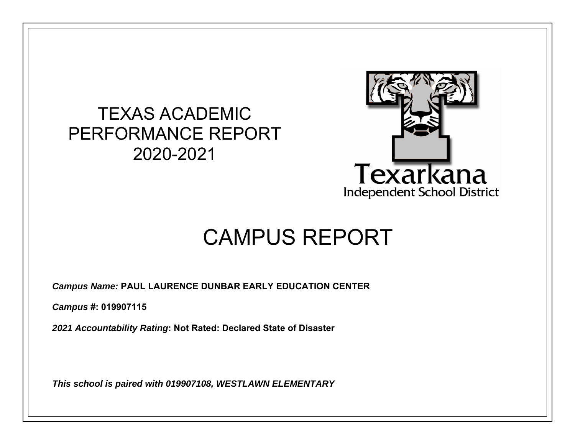## TEXAS ACADEMIC PERFORMANCE REPORT 2020-2021



# CAMPUS REPORT

*Campus Name:* **PAUL LAURENCE DUNBAR EARLY EDUCATION CENTER** 

*Campus* **#: 019907115** 

*2021 Accountability Rating***: Not Rated: Declared State of Disaster** 

*This school is paired with 019907108, WESTLAWN ELEMENTARY*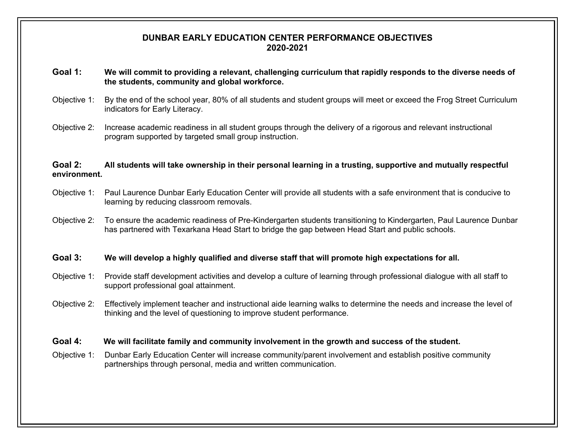#### **DUNBAR EARLY EDUCATION CENTER PERFORMANCE OBJECTIVES 2020-2021**

- **Goal 1: We will commit to providing a relevant, challenging curriculum that rapidly responds to the diverse needs of the students, community and global workforce.**
- Objective 1: By the end of the school year, 80% of all students and student groups will meet or exceed the Frog Street Curriculum indicators for Early Literacy.
- Objective 2: Increase academic readiness in all student groups through the delivery of a rigorous and relevant instructional program supported by targeted small group instruction.

#### **Goal 2: All students will take ownership in their personal learning in a trusting, supportive and mutually respectful environment.**

- Objective 1: Paul Laurence Dunbar Early Education Center will provide all students with a safe environment that is conducive to learning by reducing classroom removals.
- Objective 2: To ensure the academic readiness of Pre-Kindergarten students transitioning to Kindergarten, Paul Laurence Dunbar has partnered with Texarkana Head Start to bridge the gap between Head Start and public schools.

#### **Goal 3: We will develop a highly qualified and diverse staff that will promote high expectations for all.**

- Objective 1: Provide staff development activities and develop a culture of learning through professional dialogue with all staff to support professional goal attainment.
- Objective 2: Effectively implement teacher and instructional aide learning walks to determine the needs and increase the level of thinking and the level of questioning to improve student performance.

#### **Goal 4: We will facilitate family and community involvement in the growth and success of the student.**

Objective 1: Dunbar Early Education Center will increase community/parent involvement and establish positive community partnerships through personal, media and written communication.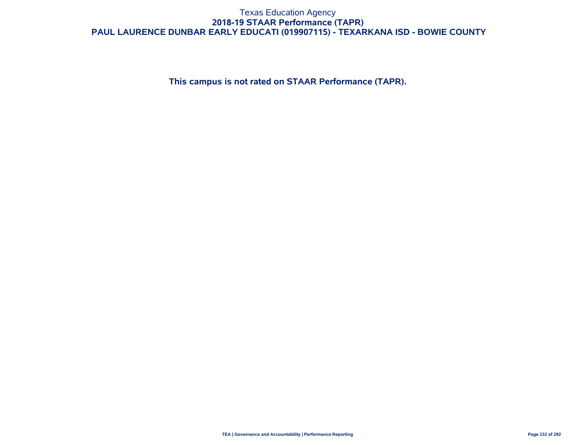#### Texas Education Agency **2018-19 STAAR Performance (TAPR) PAUL LAURENCE DUNBAR EARLY EDUCATI (019907115) - TEXARKANA ISD - BOWIE COUNTY**

**This campus is not rated on STAAR Performance (TAPR).**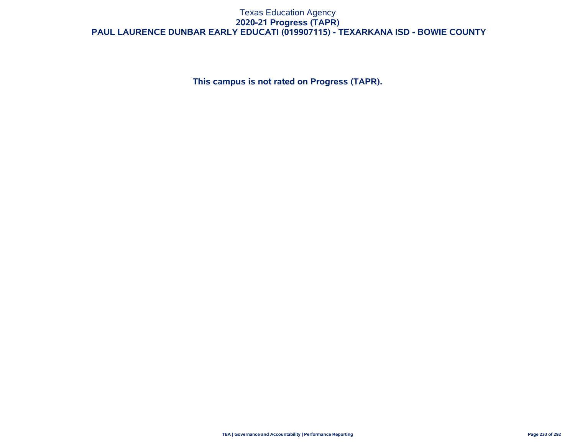#### Texas Education Agency **2020-21 Progress (TAPR) PAUL LAURENCE DUNBAR EARLY EDUCATI (019907115) - TEXARKANA ISD - BOWIE COUNTY**

**This campus is not rated on Progress (TAPR).**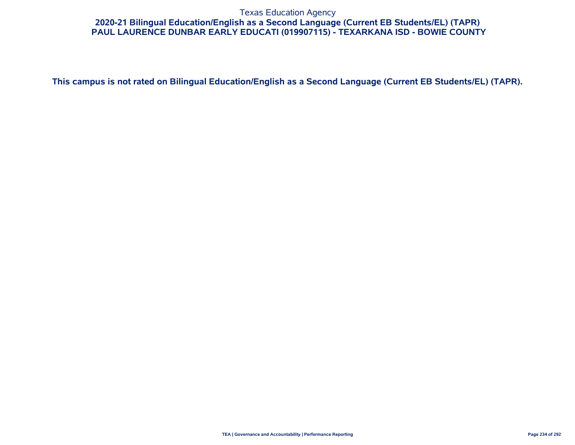#### Texas Education Agency **2020-21 Bilingual Education/English as a Second Language (Current EB Students/EL) (TAPR) PAUL LAURENCE DUNBAR EARLY EDUCATI (019907115) - TEXARKANA ISD - BOWIE COUNTY**

**This campus is not rated on Bilingual Education/English as a Second Language (Current EB Students/EL) (TAPR).**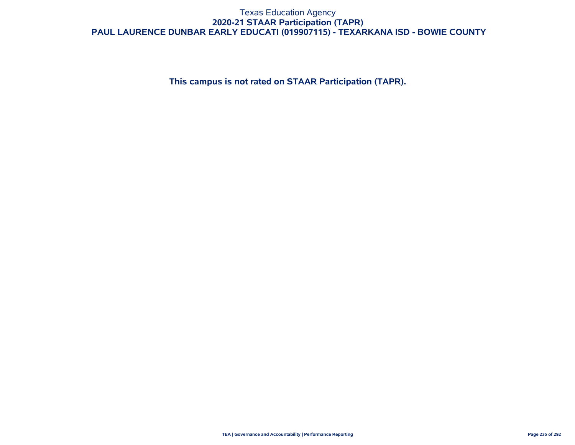#### Texas Education Agency **2020-21 STAAR Participation (TAPR) PAUL LAURENCE DUNBAR EARLY EDUCATI (019907115) - TEXARKANA ISD - BOWIE COUNTY**

**This campus is not rated on STAAR Participation (TAPR).**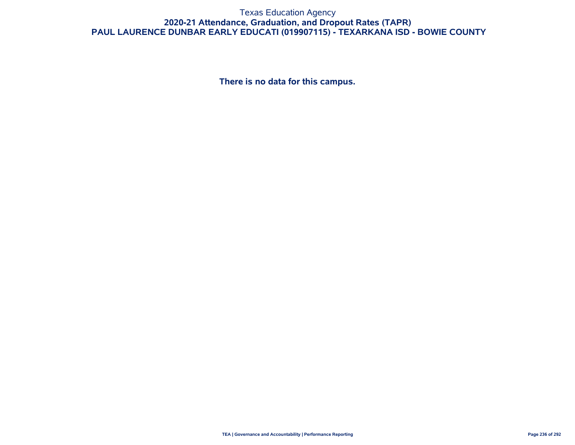#### Texas Education Agency **2020-21 Attendance, Graduation, and Dropout Rates (TAPR) PAUL LAURENCE DUNBAR EARLY EDUCATI (019907115) - TEXARKANA ISD - BOWIE COUNTY**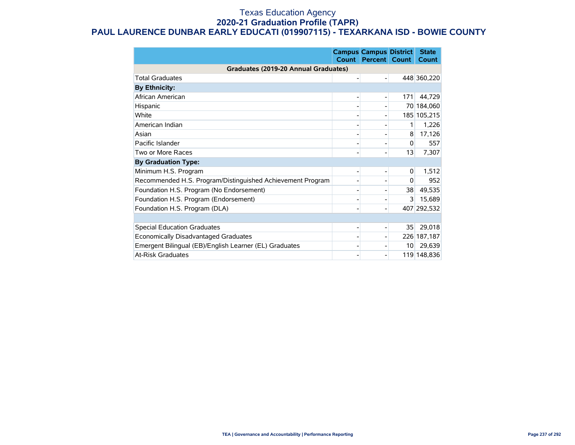#### Texas Education Agency **2020-21 Graduation Profile (TAPR) PAUL LAURENCE DUNBAR EARLY EDUCATI (019907115) - TEXARKANA ISD - BOWIE COUNTY**

|                                                            | <b>Count</b> | <b>Campus Campus District</b><br><b>Percent</b> | <b>Count</b>    | <b>State</b><br>Count |
|------------------------------------------------------------|--------------|-------------------------------------------------|-----------------|-----------------------|
| Graduates (2019-20 Annual Graduates)                       |              |                                                 |                 |                       |
| <b>Total Graduates</b>                                     |              |                                                 |                 | 448 360,220           |
| <b>By Ethnicity:</b>                                       |              |                                                 |                 |                       |
| African American                                           |              |                                                 | 171             | 44,729                |
| Hispanic                                                   |              |                                                 |                 | 70 184,060            |
| White                                                      |              |                                                 |                 | 185 105,215           |
| American Indian                                            |              |                                                 | 1               | 1,226                 |
| Asian                                                      |              |                                                 | 8               | 17,126                |
| Pacific Islander                                           |              |                                                 | $\Omega$        | 557                   |
| Two or More Races                                          |              |                                                 | 13              | 7,307                 |
| <b>By Graduation Type:</b>                                 |              |                                                 |                 |                       |
| Minimum H.S. Program                                       |              |                                                 | 0               | 1,512                 |
| Recommended H.S. Program/Distinguished Achievement Program |              |                                                 | 0               | 952                   |
| Foundation H.S. Program (No Endorsement)                   |              |                                                 | 38              | 49,535                |
| Foundation H.S. Program (Endorsement)                      |              |                                                 | 3               | 15,689                |
| Foundation H.S. Program (DLA)                              |              |                                                 |                 | 407 292,532           |
|                                                            |              |                                                 |                 |                       |
| <b>Special Education Graduates</b>                         |              |                                                 | 35              | 29,018                |
| Economically Disadvantaged Graduates                       |              |                                                 |                 | 226 187,187           |
| Emergent Bilingual (EB)/English Learner (EL) Graduates     |              |                                                 | 10 <sup>1</sup> | 29,639                |
| <b>At-Risk Graduates</b>                                   |              |                                                 |                 | 119 148,836           |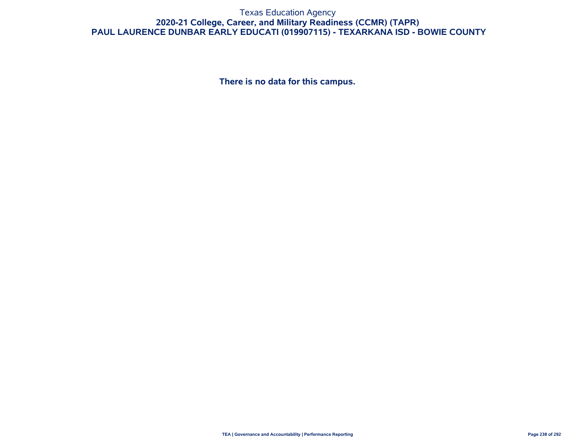#### Texas Education Agency **2020-21 College, Career, and Military Readiness (CCMR) (TAPR) PAUL LAURENCE DUNBAR EARLY EDUCATI (019907115) - TEXARKANA ISD - BOWIE COUNTY**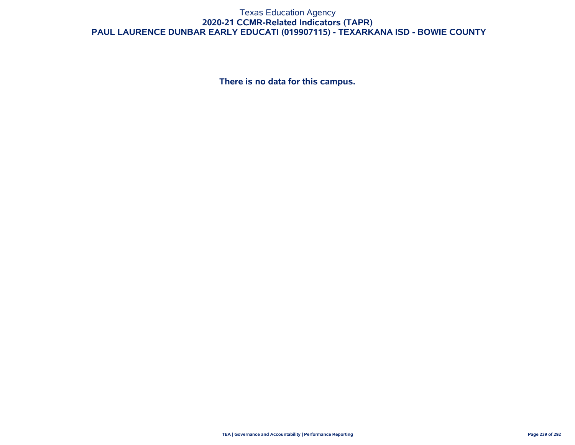#### Texas Education Agency **2020-21 CCMR-Related Indicators (TAPR) PAUL LAURENCE DUNBAR EARLY EDUCATI (019907115) - TEXARKANA ISD - BOWIE COUNTY**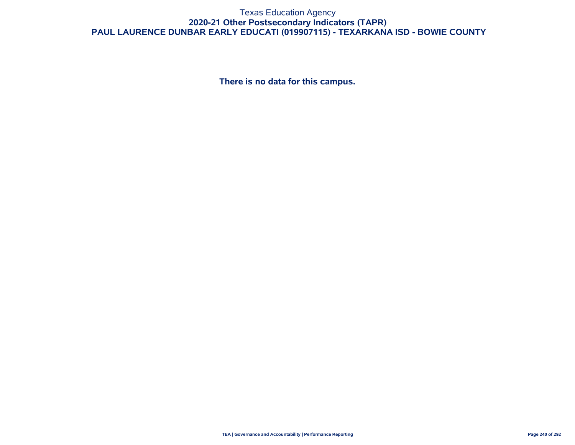#### Texas Education Agency **2020-21 Other Postsecondary Indicators (TAPR) PAUL LAURENCE DUNBAR EARLY EDUCATI (019907115) - TEXARKANA ISD - BOWIE COUNTY**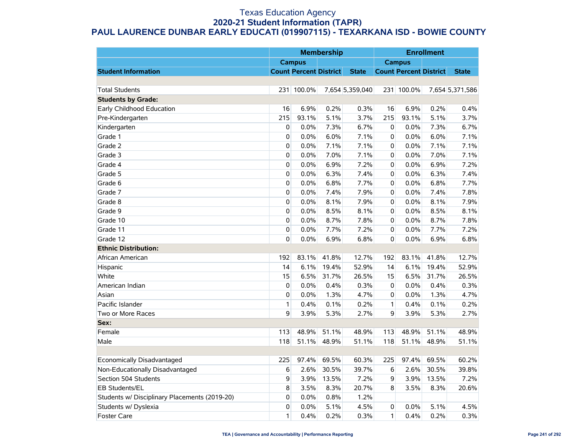#### Texas Education Agency **2020-21 Student Information (TAPR) PAUL LAURENCE DUNBAR EARLY EDUCATI (019907115) - TEXARKANA ISD - BOWIE COUNTY**

|                                               |             | <b>Membership</b>             |       |                 | <b>Enrollment</b> |                               |       |                 |
|-----------------------------------------------|-------------|-------------------------------|-------|-----------------|-------------------|-------------------------------|-------|-----------------|
|                                               |             | <b>Campus</b>                 |       |                 | <b>Campus</b>     |                               |       |                 |
| <b>Student Information</b>                    |             | <b>Count Percent District</b> |       | <b>State</b>    |                   | <b>Count Percent District</b> |       | <b>State</b>    |
|                                               |             |                               |       |                 |                   |                               |       |                 |
| <b>Total Students</b>                         | 231         | 100.0%                        |       | 7,654 5,359,040 |                   | 231 100.0%                    |       | 7,654 5,371,586 |
| <b>Students by Grade:</b>                     |             |                               |       |                 |                   |                               |       |                 |
| Early Childhood Education                     | 16          | 6.9%                          | 0.2%  | 0.3%            | 16                | 6.9%                          | 0.2%  | 0.4%            |
| Pre-Kindergarten                              | 215         | 93.1%                         | 5.1%  | 3.7%            | 215               | 93.1%                         | 5.1%  | 3.7%            |
| Kindergarten                                  | 0           | 0.0%                          | 7.3%  | 6.7%            | 0                 | 0.0%                          | 7.3%  | 6.7%            |
| Grade 1                                       | 0           | 0.0%                          | 6.0%  | 7.1%            | 0                 | 0.0%                          | 6.0%  | 7.1%            |
| Grade 2                                       | 0           | 0.0%                          | 7.1%  | 7.1%            | 0                 | 0.0%                          | 7.1%  | 7.1%            |
| Grade 3                                       | 0           | 0.0%                          | 7.0%  | 7.1%            | 0                 | 0.0%                          | 7.0%  | 7.1%            |
| Grade 4                                       | 0           | 0.0%                          | 6.9%  | 7.2%            | 0                 | 0.0%                          | 6.9%  | 7.2%            |
| Grade 5                                       | 0           | 0.0%                          | 6.3%  | 7.4%            | 0                 | 0.0%                          | 6.3%  | 7.4%            |
| Grade 6                                       | 0           | 0.0%                          | 6.8%  | 7.7%            | 0                 | 0.0%                          | 6.8%  | 7.7%            |
| Grade 7                                       | 0           | 0.0%                          | 7.4%  | 7.9%            | 0                 | 0.0%                          | 7.4%  | 7.8%            |
| Grade 8                                       | 0           | 0.0%                          | 8.1%  | 7.9%            | 0                 | 0.0%                          | 8.1%  | 7.9%            |
| Grade 9                                       | $\mathbf 0$ | 0.0%                          | 8.5%  | 8.1%            | 0                 | 0.0%                          | 8.5%  | 8.1%            |
| Grade 10                                      | $\mathbf 0$ | 0.0%                          | 8.7%  | 7.8%            | 0                 | 0.0%                          | 8.7%  | 7.8%            |
| Grade 11                                      | 0           | 0.0%                          | 7.7%  | 7.2%            | 0                 | 0.0%                          | 7.7%  | 7.2%            |
| Grade 12                                      | 0           | 0.0%                          | 6.9%  | 6.8%            | 0                 | 0.0%                          | 6.9%  | 6.8%            |
| <b>Ethnic Distribution:</b>                   |             |                               |       |                 |                   |                               |       |                 |
| African American                              | 192         | 83.1%                         | 41.8% | 12.7%           | 192               | 83.1%                         | 41.8% | 12.7%           |
| Hispanic                                      | 14          | 6.1%                          | 19.4% | 52.9%           | 14                | 6.1%                          | 19.4% | 52.9%           |
| White                                         | 15          | 6.5%                          | 31.7% | 26.5%           | 15                | 6.5%                          | 31.7% | 26.5%           |
| American Indian                               | 0           | 0.0%                          | 0.4%  | 0.3%            | 0                 | 0.0%                          | 0.4%  | 0.3%            |
| Asian                                         | $\mathbf 0$ | 0.0%                          | 1.3%  | 4.7%            | 0                 | 0.0%                          | 1.3%  | 4.7%            |
| Pacific Islander                              | 1           | 0.4%                          | 0.1%  | 0.2%            | $\mathbf{1}$      | 0.4%                          | 0.1%  | 0.2%            |
| Two or More Races                             | 9           | 3.9%                          | 5.3%  | 2.7%            | 9                 | 3.9%                          | 5.3%  | 2.7%            |
| Sex:                                          |             |                               |       |                 |                   |                               |       |                 |
| Female                                        | 113         | 48.9%                         | 51.1% | 48.9%           | 113               | 48.9%                         | 51.1% | 48.9%           |
| Male                                          | 118         | 51.1%                         | 48.9% | 51.1%           | 118               | 51.1%                         | 48.9% | 51.1%           |
|                                               |             |                               |       |                 |                   |                               |       |                 |
| Economically Disadvantaged                    | 225         | 97.4%                         | 69.5% | 60.3%           | 225               | 97.4%                         | 69.5% | 60.2%           |
| Non-Educationally Disadvantaged               | 6           | 2.6%                          | 30.5% | 39.7%           | 6                 | 2.6%                          | 30.5% | 39.8%           |
| Section 504 Students                          | 9           | 3.9%                          | 13.5% | 7.2%            | 9                 | 3.9%                          | 13.5% | 7.2%            |
| EB Students/EL                                | 8           | 3.5%                          | 8.3%  | 20.7%           | 8                 | 3.5%                          | 8.3%  | 20.6%           |
| Students w/ Disciplinary Placements (2019-20) | 0           | 0.0%                          | 0.8%  | 1.2%            |                   |                               |       |                 |
| Students w/ Dyslexia                          | 0           | 0.0%                          | 5.1%  | 4.5%            | 0                 | 0.0%                          | 5.1%  | 4.5%            |
| <b>Foster Care</b>                            | 1           | 0.4%                          | 0.2%  | 0.3%            | $\mathbf{1}$      | 0.4%                          | 0.2%  | 0.3%            |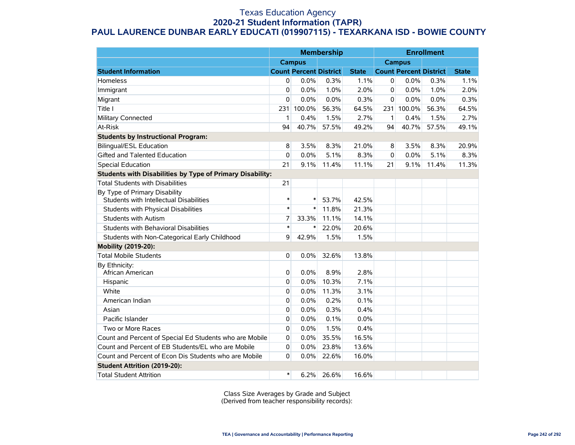#### Texas Education Agency **2020-21 Student Information (TAPR) PAUL LAURENCE DUNBAR EARLY EDUCATI (019907115) - TEXARKANA ISD - BOWIE COUNTY**

|                                                                          | <b>Membership</b> |                               |       | <b>Enrollment</b> |               |                               |       |              |
|--------------------------------------------------------------------------|-------------------|-------------------------------|-------|-------------------|---------------|-------------------------------|-------|--------------|
|                                                                          |                   | <b>Campus</b>                 |       |                   | <b>Campus</b> |                               |       |              |
| <b>Student Information</b>                                               |                   | <b>Count Percent District</b> |       | <b>State</b>      |               | <b>Count Percent District</b> |       | <b>State</b> |
| Homeless                                                                 | 0                 | 0.0%                          | 0.3%  | 1.1%              | 0             | 0.0%                          | 0.3%  | 1.1%         |
| Immigrant                                                                | 0                 | 0.0%                          | 1.0%  | 2.0%              | 0             | 0.0%                          | 1.0%  | 2.0%         |
| Migrant                                                                  | 0                 | 0.0%                          | 0.0%  | 0.3%              | $\mathbf 0$   | 0.0%                          | 0.0%  | 0.3%         |
| Title I                                                                  | 231               | 100.0%                        | 56.3% | 64.5%             | 231           | 100.0%                        | 56.3% | 64.5%        |
| Military Connected                                                       | 1                 | 0.4%                          | 1.5%  | 2.7%              | $\mathbf{1}$  | 0.4%                          | 1.5%  | 2.7%         |
| At-Risk                                                                  | 94                | 40.7%                         | 57.5% | 49.2%             | 94            | 40.7%                         | 57.5% | 49.1%        |
| <b>Students by Instructional Program:</b>                                |                   |                               |       |                   |               |                               |       |              |
| <b>Bilingual/ESL Education</b>                                           | 8                 | 3.5%                          | 8.3%  | 21.0%             | 8             | 3.5%                          | 8.3%  | 20.9%        |
| Gifted and Talented Education                                            | 0                 | 0.0%                          | 5.1%  | 8.3%              | 0             | 0.0%                          | 5.1%  | 8.3%         |
| <b>Special Education</b>                                                 | 21                | 9.1%                          | 11.4% | 11.1%             | 21            | 9.1%                          | 11.4% | 11.3%        |
| Students with Disabilities by Type of Primary Disability:                |                   |                               |       |                   |               |                               |       |              |
| <b>Total Students with Disabilities</b>                                  | 21                |                               |       |                   |               |                               |       |              |
| By Type of Primary Disability<br>Students with Intellectual Disabilities | $\ast$            | $\ast$                        | 53.7% | 42.5%             |               |                               |       |              |
| Students with Physical Disabilities                                      | $\ast$            | $\ast$                        | 11.8% | 21.3%             |               |                               |       |              |
| <b>Students with Autism</b>                                              | 7                 | 33.3%                         | 11.1% | 14.1%             |               |                               |       |              |
| Students with Behavioral Disabilities                                    | $\ast$            | $\ast$                        | 22.0% | 20.6%             |               |                               |       |              |
| Students with Non-Categorical Early Childhood                            | 9                 | 42.9%                         | 1.5%  | 1.5%              |               |                               |       |              |
| Mobility (2019-20):                                                      |                   |                               |       |                   |               |                               |       |              |
| <b>Total Mobile Students</b>                                             | 0                 | 0.0%                          | 32.6% | 13.8%             |               |                               |       |              |
| By Ethnicity:<br>African American                                        | 0                 | 0.0%                          | 8.9%  | 2.8%              |               |                               |       |              |
| Hispanic                                                                 | 0                 | 0.0%                          | 10.3% | 7.1%              |               |                               |       |              |
| White                                                                    | 0                 | 0.0%                          | 11.3% | 3.1%              |               |                               |       |              |
| American Indian                                                          | 0                 | 0.0%                          | 0.2%  | 0.1%              |               |                               |       |              |
| Asian                                                                    | 0                 | 0.0%                          | 0.3%  | 0.4%              |               |                               |       |              |
| Pacific Islander                                                         | 0                 | 0.0%                          | 0.1%  | 0.0%              |               |                               |       |              |
| Two or More Races                                                        | 0                 | 0.0%                          | 1.5%  | 0.4%              |               |                               |       |              |
| Count and Percent of Special Ed Students who are Mobile                  | 0                 | 0.0%                          | 35.5% | 16.5%             |               |                               |       |              |
| Count and Percent of EB Students/EL who are Mobile                       | 0                 | 0.0%                          | 23.8% | 13.6%             |               |                               |       |              |
| Count and Percent of Econ Dis Students who are Mobile                    | 0                 | 0.0%                          | 22.6% | 16.0%             |               |                               |       |              |
| <b>Student Attrition (2019-20):</b>                                      |                   |                               |       |                   |               |                               |       |              |
| <b>Total Student Attrition</b>                                           | $\ast$            | 6.2%                          | 26.6% | 16.6%             |               |                               |       |              |

Class Size Averages by Grade and Subject (Derived from teacher responsibility records):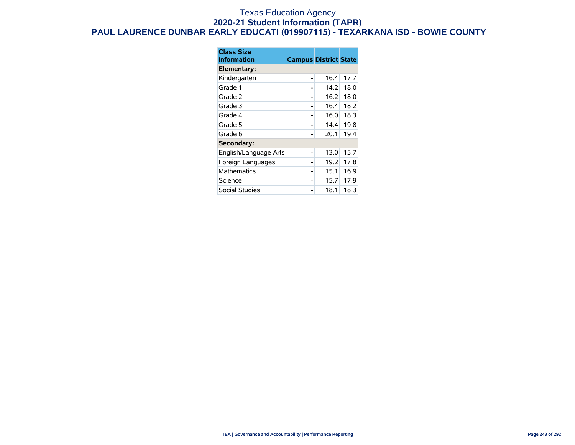#### Texas Education Agency **2020-21 Student Information (TAPR) PAUL LAURENCE DUNBAR EARLY EDUCATI (019907115) - TEXARKANA ISD - BOWIE COUNTY**

| <b>Class Size</b><br><b>Information</b> | <b>Campus District State</b> |      |      |
|-----------------------------------------|------------------------------|------|------|
| Elementary:                             |                              |      |      |
| Kindergarten                            |                              | 16.4 | 17.7 |
| Grade 1                                 |                              | 14.2 | 18.0 |
| Grade 2                                 |                              | 16.2 | 18.0 |
| Grade 3                                 |                              | 16.4 | 18.2 |
| Grade 4                                 |                              | 16.0 | 18.3 |
| Grade 5                                 |                              | 14.4 | 19.8 |
| Grade 6                                 |                              | 20.1 | 19.4 |
| Secondary:                              |                              |      |      |
| English/Language Arts                   |                              | 13.0 | 15.7 |
| Foreign Languages                       |                              | 19.2 | 17.8 |
| Mathematics                             |                              | 15.1 | 16.9 |
| Science                                 |                              | 15.7 | 17.9 |
| Social Studies                          |                              | 18.1 | 18.3 |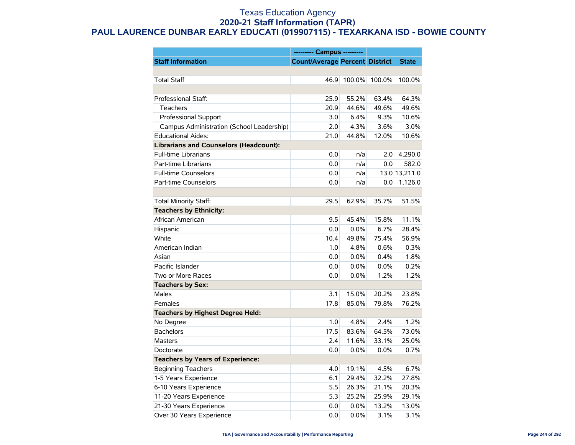#### Texas Education Agency **2020-21 Staff Information (TAPR) PAUL LAURENCE DUNBAR EARLY EDUCATI (019907115) - TEXARKANA ISD - BOWIE COUNTY**

|                                               | --------- Campus ---------            |        |        |               |
|-----------------------------------------------|---------------------------------------|--------|--------|---------------|
| <b>Staff Information</b>                      | <b>Count/Average Percent District</b> |        |        | <b>State</b>  |
|                                               |                                       |        |        |               |
| <b>Total Staff</b>                            | 46.9                                  | 100.0% | 100.0% | 100.0%        |
|                                               |                                       |        |        |               |
| Professional Staff:                           | 25.9                                  | 55.2%  | 63.4%  | 64.3%         |
| <b>Teachers</b>                               | 20.9                                  | 44.6%  | 49.6%  | 49.6%         |
| Professional Support                          | 3.0                                   | 6.4%   | 9.3%   | 10.6%         |
| Campus Administration (School Leadership)     | 2.0                                   | 4.3%   | 3.6%   | 3.0%          |
| <b>Educational Aides:</b>                     | 21.0                                  | 44.8%  | 12.0%  | 10.6%         |
| <b>Librarians and Counselors (Headcount):</b> |                                       |        |        |               |
| <b>Full-time Librarians</b>                   | 0.0                                   | n/a    | 2.0    | 4,290.0       |
| Part-time Librarians                          | 0.0                                   | n/a    | 0.0    | 582.0         |
| <b>Full-time Counselors</b>                   | 0.0                                   | n/a    |        | 13.0 13,211.0 |
| Part-time Counselors                          | 0.0                                   | n/a    | 0.0    | 1,126.0       |
|                                               |                                       |        |        |               |
| Total Minority Staff:                         | 29.5                                  | 62.9%  | 35.7%  | 51.5%         |
| <b>Teachers by Ethnicity:</b>                 |                                       |        |        |               |
| African American                              | 9.5                                   | 45.4%  | 15.8%  | 11.1%         |
| Hispanic                                      | 0.0                                   | 0.0%   | 6.7%   | 28.4%         |
| White                                         | 10.4                                  | 49.8%  | 75.4%  | 56.9%         |
| American Indian                               | 1.0                                   | 4.8%   | 0.6%   | 0.3%          |
| Asian                                         | 0.0                                   | 0.0%   | 0.4%   | 1.8%          |
| Pacific Islander                              | 0.0                                   | 0.0%   | 0.0%   | 0.2%          |
| Two or More Races                             | 0.0                                   | 0.0%   | 1.2%   | 1.2%          |
| <b>Teachers by Sex:</b>                       |                                       |        |        |               |
| <b>Males</b>                                  | 3.1                                   | 15.0%  | 20.2%  | 23.8%         |
| Females                                       | 17.8                                  | 85.0%  | 79.8%  | 76.2%         |
| <b>Teachers by Highest Degree Held:</b>       |                                       |        |        |               |
| No Degree                                     | 1.0                                   | 4.8%   | 2.4%   | 1.2%          |
| <b>Bachelors</b>                              | 17.5                                  | 83.6%  | 64.5%  | 73.0%         |
| Masters                                       | 2.4                                   | 11.6%  | 33.1%  | 25.0%         |
| Doctorate                                     | 0.0                                   | 0.0%   | 0.0%   | 0.7%          |
| <b>Teachers by Years of Experience:</b>       |                                       |        |        |               |
| <b>Beginning Teachers</b>                     | 4.0                                   | 19.1%  | 4.5%   | 6.7%          |
| 1-5 Years Experience                          | 6.1                                   | 29.4%  | 32.2%  | 27.8%         |
| 6-10 Years Experience                         | 5.5                                   | 26.3%  | 21.1%  | 20.3%         |
| 11-20 Years Experience                        | 5.3                                   | 25.2%  | 25.9%  | 29.1%         |
| 21-30 Years Experience                        | 0.0                                   | 0.0%   | 13.2%  | 13.0%         |
| Over 30 Years Experience                      | 0.0                                   | 0.0%   | 3.1%   | 3.1%          |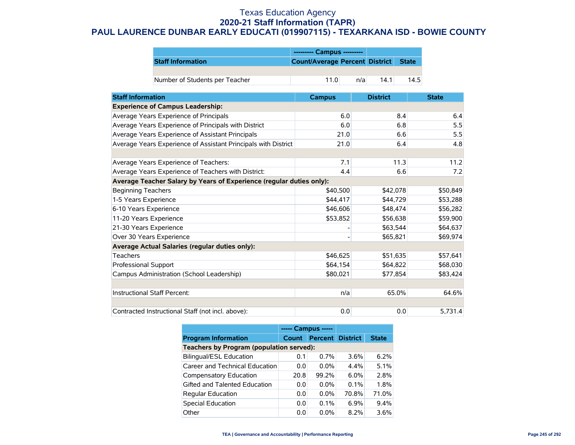#### Texas Education Agency **2020-21 Staff Information (TAPR) PAUL LAURENCE DUNBAR EARLY EDUCATI (019907115) - TEXARKANA ISD - BOWIE COUNTY**

|                                |                                      | --------- Campus --------- |      |      |
|--------------------------------|--------------------------------------|----------------------------|------|------|
| <b>Staff Information</b>       | Count/Average Percent District State |                            |      |      |
|                                |                                      |                            |      |      |
| Number of Students per Teacher | 11.0                                 | n/a                        | 14.1 | 14.5 |

| <b>Staff Information</b>                                             | <b>Campus</b> | <b>District</b> | <b>State</b> |
|----------------------------------------------------------------------|---------------|-----------------|--------------|
| <b>Experience of Campus Leadership:</b>                              |               |                 |              |
| Average Years Experience of Principals                               | 6.0           | 8.4             | 6.4          |
| Average Years Experience of Principals with District                 | 6.0           | 6.8             | 5.5          |
| Average Years Experience of Assistant Principals                     | 21.0          | 6.6             | 5.5          |
| Average Years Experience of Assistant Principals with District       | 21.0          | 6.4             | 4.8          |
|                                                                      |               |                 |              |
| Average Years Experience of Teachers:                                | 7.1           | 11.3            | 11.2         |
| Average Years Experience of Teachers with District:                  | 4.4           | 6.6             | 7.2          |
| Average Teacher Salary by Years of Experience (regular duties only): |               |                 |              |
| <b>Beginning Teachers</b>                                            | \$40,500      | \$42,078        | \$50,849     |
| 1-5 Years Experience                                                 | \$44,417      | \$44,729        | \$53,288     |
| 6-10 Years Experience                                                | \$46,606      | \$48,474        | \$56,282     |
| 11-20 Years Experience                                               | \$53,852      | \$56,638        | \$59,900     |
| 21-30 Years Experience                                               |               | \$63,544        | \$64,637     |
| Over 30 Years Experience                                             |               | \$65,821        | \$69,974     |
| Average Actual Salaries (regular duties only):                       |               |                 |              |
| <b>Teachers</b>                                                      | \$46,625      | \$51,635        | \$57,641     |
| Professional Support                                                 | \$64,154      | \$64,822        | \$68,030     |
| Campus Administration (School Leadership)                            | \$80,021      | \$77,854        | \$83,424     |
|                                                                      |               |                 |              |
| Instructional Staff Percent:                                         | n/a           | 65.0%           | 64.6%        |
|                                                                      |               |                 |              |
| Contracted Instructional Staff (not incl. above):                    | 0.0           | 0.0             | 5,731.4      |

|                                          | ----- Campus ----- |                         |         |              |  |  |  |  |
|------------------------------------------|--------------------|-------------------------|---------|--------------|--|--|--|--|
| <b>Program Information</b>               | <b>Count</b>       | <b>Percent District</b> |         | <b>State</b> |  |  |  |  |
| Teachers by Program (population served): |                    |                         |         |              |  |  |  |  |
| <b>Bilingual/ESL Education</b>           | 0.1                | $0.7\%$                 | $3.6\%$ | 6.2%         |  |  |  |  |
| Career and Technical Education           | 0.0                | $0.0\%$                 | 4.4%    | 5.1%         |  |  |  |  |
| Compensatory Education                   | 20.8               | 99.2%                   | $6.0\%$ | 2.8%         |  |  |  |  |
| Gifted and Talented Education            | 0.0                | $0.0\%$                 | $0.1\%$ | 1.8%         |  |  |  |  |
| <b>Regular Education</b>                 | 0.0                | $0.0\%$                 | 70.8%   | 71.0%        |  |  |  |  |
| <b>Special Education</b>                 | 0.0                | 0.1%                    | 6.9%    | 9.4%         |  |  |  |  |
| Other                                    | 0.0                | $0.0\%$                 | 8.2%    | 3.6%         |  |  |  |  |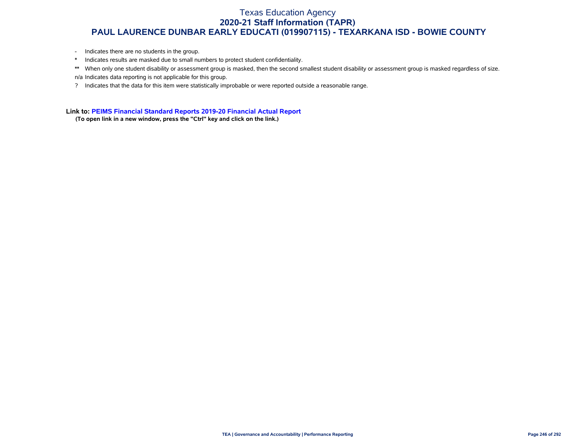#### Texas Education Agency **2020-21 Staff Information (TAPR) PAUL LAURENCE DUNBAR EARLY EDUCATI (019907115) - TEXARKANA ISD - BOWIE COUNTY**

- Indicates there are no students in the group.
- \* Indicates results are masked due to small numbers to protect student confidentiality.
- \*\* When only one student disability or assessment group is masked, then the second smallest student disability or assessment group is masked regardless of size. n/a Indicates data reporting is not applicable for this group.
- ? Indicates that the data for this item were statistically improbable or were reported outside a reasonable range.

**Link to: [PEIMS Financial Standard Reports 2019-20 Financial Actual Report](https://rptsvr1.tea.texas.gov/cgi/sas/broker?_service=marykay&_service=appserv&_debug=0&_program=sfadhoc.Campus_actual20.sas&which_camp=019907115)**

**(To open link in a new window, press the "Ctrl" key and click on the link.)**